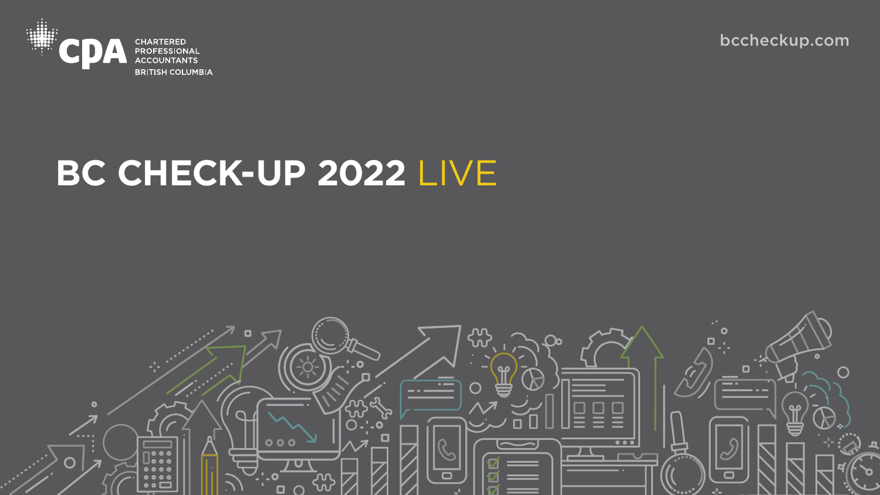

## **BC CHECK-UP 2022** LIVE



### [bccheckup.com](https://www.bccpa.ca/news-events/bc-economy)



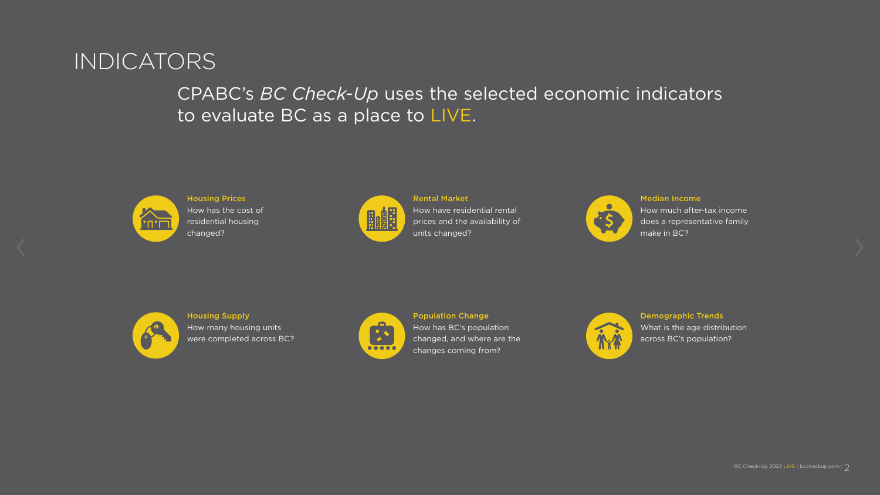### CPABC's *BC Check-Up* uses the selected economic indicators to evaluate BC as a place to LIVE.



### INDICATORS

Housing Prices How has the cost of residential housing changed?





#### Rental Market

How have residential rental prices and the availability of units changed?



Housing Supply How many housing units were completed across BC?



#### Population Change

How has BC's population changed, and where are the changes coming from?



Demographic Trends What is the age distribution across BC's population?



Median Income How much after-tax income does a representative family make in BC?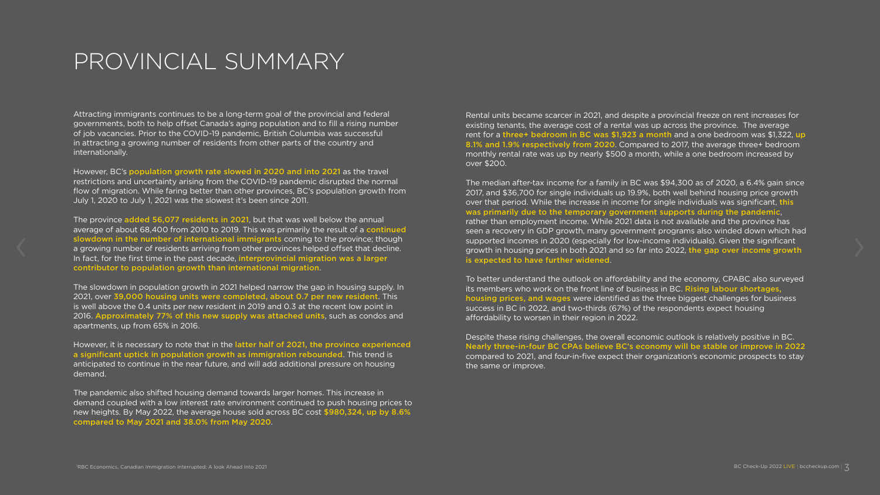### PROVINCIAL SUMMARY

Attracting immigrants continues to be a long-term goal of the provincial and federal governments, both to help offset Canada's aging population and to fill a rising number of job vacancies. Prior to the COVID-19 pandemic, British Columbia was successful in attracting a growing number of residents from other parts of the country and internationally.

However, BC's population growth rate slowed in 2020 and into 2021 as the travel restrictions and uncertainty arising from the COVID-19 pandemic disrupted the normal flow of migration. While faring better than other provinces, BC's population growth from July 1, 2020 to July 1, 2021 was the slowest it's been since 2011.

The province added 56,077 residents in 2021, but that was well below the annual average of about 68,400 from 2010 to 2019. This was primarily the result of a continued slowdown in the number of international immigrants coming to the province; though a growing number of residents arriving from other provinces helped offset that decline. In fact, for the first time in the past decade, interprovincial migration was a larger contributor to population growth than international migration.

The slowdown in population growth in 2021 helped narrow the gap in housing supply. In 2021, over 39,000 housing units were completed, about 0.7 per new resident. This is well above the 0.4 units per new resident in 2019 and 0.3 at the recent low point in 2016. Approximately 77% of this new supply was attached units, such as condos and apartments, up from 65% in 2016.

However, it is necessary to note that in the latter half of 2021, the province experienced a significant uptick in population growth as immigration rebounded. This trend is anticipated to continue in the near future, and will add additional pressure on housing demand.

The pandemic also shifted housing demand towards larger homes. This increase in demand coupled with a low interest rate environment continued to push housing prices to new heights. By May 2022, the average house sold across BC cost \$980,324, up by 8.6% compared to May 2021 and 38.0% from May 2020.

Rental units became scarcer in 2021, and despite a provincial freeze on rent increases for existing tenants, the average cost of a rental was up across the province. The average rent for a three+ bedroom in BC was \$1,923 a month and a one bedroom was \$1,322, up 8.1% and 1.9% respectively from 2020. Compared to 2017, the average three+ bedroom monthly rental rate was up by nearly \$500 a month, while a one bedroom increased by over \$200.

The median after-tax income for a family in BC was \$94,300 as of 2020, a 6.4% gain since 2017, and \$36,700 for single individuals up 19.9%, both well behind housing price growth over that period. While the increase in income for single individuals was significant, this was primarily due to the temporary government supports during the pandemic, rather than employment income. While 2021 data is not available and the province has seen a recovery in GDP growth, many government programs also winded down which had supported incomes in 2020 (especially for low-income individuals). Given the significant growth in housing prices in both 2021 and so far into 2022, the gap over income growth is expected to have further widened.

To better understand the outlook on affordability and the economy, CPABC also surveyed its members who work on the front line of business in BC. Rising labour shortages, housing prices, and wages were identified as the three biggest challenges for business success in BC in 2022, and two-thirds (67%) of the respondents expect housing affordability to worsen in their region in 2022.

Despite these rising challenges, the overall economic outlook is relatively positive in BC. Nearly three-in-four BC CPAs believe BC's economy will be stable or improve in 2022 compared to 2021, and four-in-five expect their organization's economic prospects to stay the same or improve.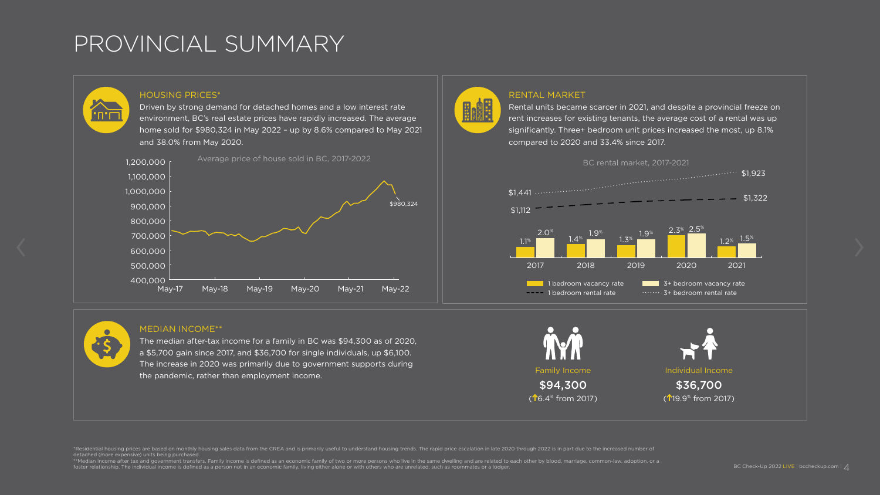### PROVINCIAL SUMMARY

#### HOUSING PRICES\*

Driven by strong demand for detached homes and a low interest rate environment, BC's real estate prices have rapidly increased. The average home sold for \$980,324 in May 2022 – up by 8.6% compared to May 2021 and 38.0% from May 2020.

\*Residential housing prices are based on monthly housing sales data from the CREA and is primarily useful to understand housing trends. The rapid price escalation in late 2020 through 2022 is in part due to the increased n detached (more expensive) units being purchased.

\*\*Median income after tax and government transfers. Family income is defined as an economic family of two or more persons who live in the same dwelling and are related to each other by blood, marriage, common-law, adoption foster relationship. The individual income is defined as a person not in an economic family, living either alone or with others who are unrelated, such as roommates or a lodger.

#### RENTAL MARKET

D.

IN Family Income and Individual Income \$94,300 \$36,700  $($ **16.4**<sup>6</sup> from 2017) ( 19.9% from 2017)



Rental units became scarcer in 2021, and despite a provincial freeze on rent increases for existing tenants, the average cost of a rental was up significantly. Three+ bedroom unit prices increased the most, up 8.1% compared to 2020 and 33.4% since 2017.

#### MEDIAN INCOME\*\*

The median after-tax income for a family in BC was \$94,300 as of 2020, a \$5,700 gain since 2017, and \$36,700 for single individuals, up \$6,100. The increase in 2020 was primarily due to government supports during the pandemic, rather than employment income.





יח־ח

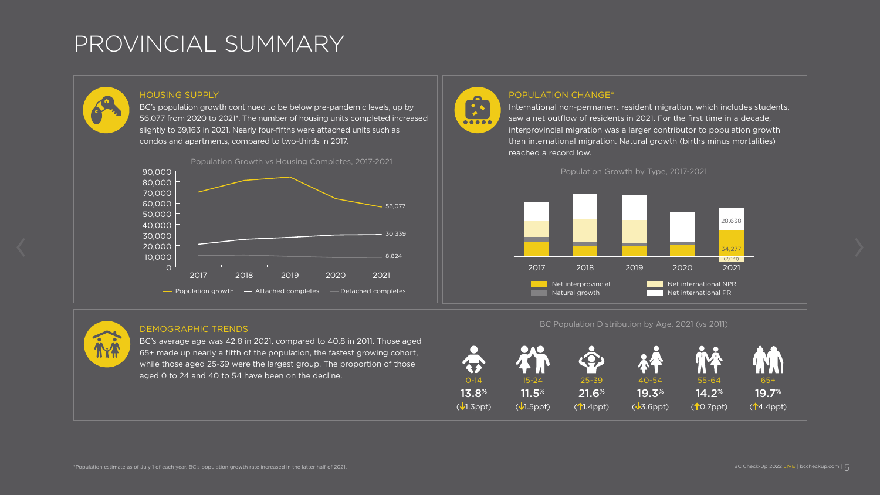### PROVINCIAL SUMMARY

slightly to 39,163 in 2021. Nearly four-fifths were attached units such as





International non-permanent resident migration, which includes students, saw a net outflow of residents in 2021. For the first time in a decade, interprovincial migration was a larger contributor to population growth than international migration. Natural growth (births minus mortalities)

#### DEMOGRAPHIC TRENDS

BC's average age was 42.8 in 2021, compared to 40.8 in 2011. Those aged 65+ made up nearly a fifth of the population, the fastest growing cohort, while those aged 25-39 were the largest group. The proportion of those aged 0 to 24 and 40 to 54 have been on the decline.

28,638

(7,031)

34,277



BC Population Distribution by Age, 2021 (vs 2011)

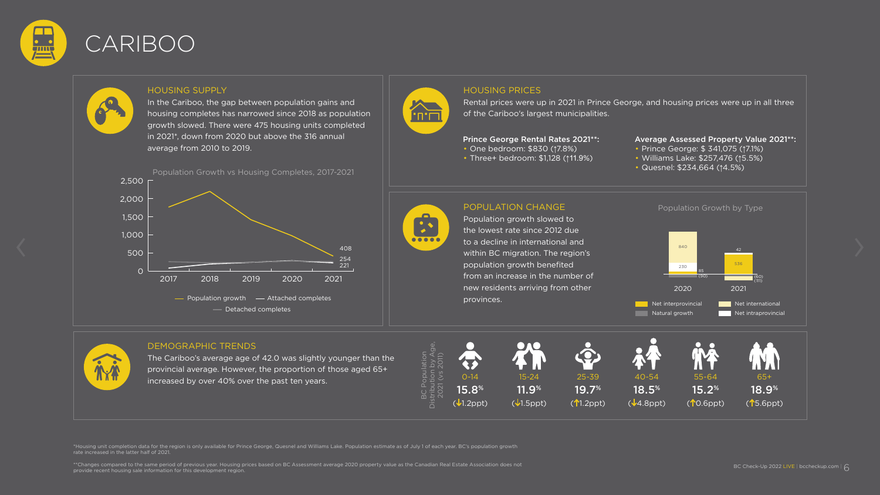

### CARIBOO

\*Housing unit completion data for the region is only available for Prince George, Quesnel and Williams Lake. Population estimate as of July 1 of each year. BC's population growth rate increased in the latter half of 2021.

\*\*Changes compared to the same period of previous year. Housing prices based on BC Assessment average 2020 property value as the Canadian Real Estate Association does not provide recent housing sale information for this development region.

# **ATT**

#### HOUSING PRICES

Rental prices were up in 2021 in Prince George, and housing prices were up in all three of the Cariboo's largest municipalities.

### POPULATION CHANGE

Population growth slowed to the lowest rate since 2012 due to a decline in international and within BC migration. The region's population growth benefited from an increase in the number of new residents arriving from other provinces.

- One bedroom: \$830 (17.8%)
- Three+ bedroom: \$1,128 (↑11.9%)

#### HOUSING SUPPLY

In the Cariboo, the gap between population gains and housing completes has narrowed since 2018 as population growth slowed. There were 475 housing units completed in 2021\*, down from 2020 but above the 316 annual average from 2010 to 2019.

#### DEMOGRAPHIC TRENDS

The Cariboo's average age of 42.0 was slightly younger than the provincial average. However, the proportion of those aged 65+ increased by over 40% over the past ten years.

Population Growth by Type

#### Prince George Rental Rates 2021\*\*:









#### Average Assessed Property Value 2021\*\*:

- Prince George: \$ 341,075 (↑7.1%)
- Williams Lake: \$257,476 (↑5.5%)
- Quesnel: \$234,664 (↑4.5%)



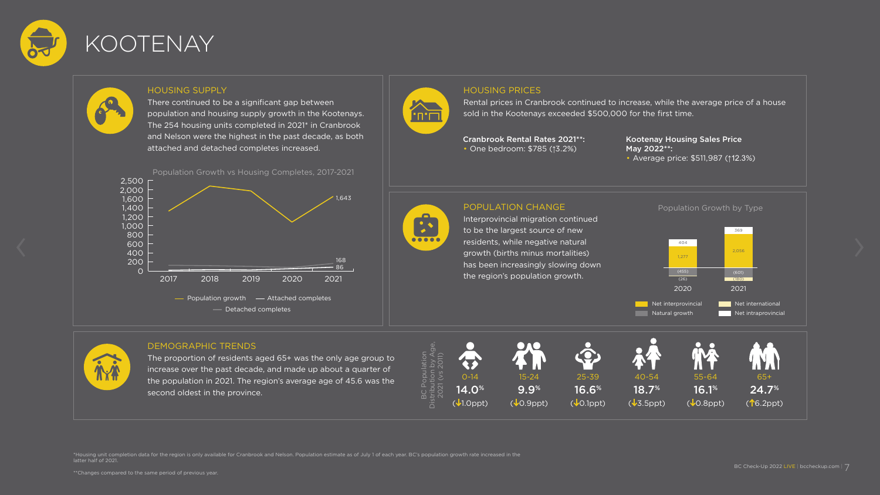

### KOOTENAY

\*Housing unit completion data for the region is only available for Cranbrook and Nelson. Population estimate as of July 1 of each year. BC's population growth rate increased in the latter half of 2021.

\*\*Changes compared to the same period of previous year.



#### POPULATION CHANGE

The proportion of residents aged 65+ was the only age group to increase over the past decade, and made up about a quarter of the population in 2021. The region's average age of 45.6 was the second oldest in the province.

Interprovincial migration continued to be the largest source of new residents, while negative natural growth (births minus mortalities) has been increasingly slowing down the region's population growth.

#### HOUSING SUPPLY

There continued to be a significant gap between population and housing supply growth in the Kootenays. The 254 housing units completed in 2021\* in Cranbrook and Nelson were the highest in the past decade, as both attached and detached completes increased.

#### DEMOGRAPHIC TRENDS

#### HOUSING PRICES

Rental prices in Cranbrook continued to increase, while the average price of a house sold in the Kootenays exceeded \$500,000 for the first time.

Cranbrook Rental Rates 2021\*\*: • One bedroom: \$785 (↑3.2%)

#### Kootenay Housing Sales Price May 2022\*\*:

• Average price: \$511,987 (↑12.3%)











Population Growth by Type

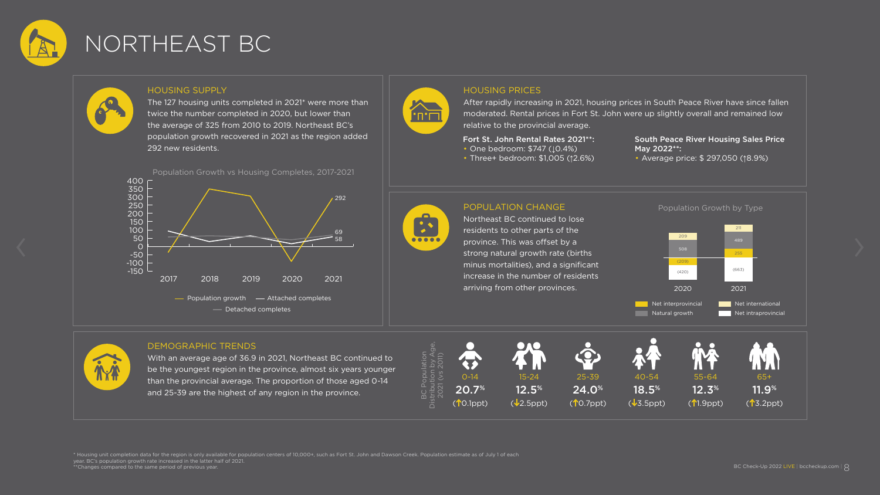

### NORTHEAST BC

\* Housing unit completion data for the region is only available for population centers of 10,000+, such as Fort St. John and Dawson Creek. Population estimate as of July 1 of each year. BC's population growth rate increased in the latter half of 2021. \*\*Changes compared to the same period of previous year.



#### POPULATION CHANGE

Northeast BC continued to lose residents to other parts of the province. This was offset by a strong natural growth rate (births minus mortalities), and a significant increase in the number of residents arriving from other provinces.

#### HOUSING SUPPLY

- One bedroom: \$747 ( $\downarrow$ 0.4%)
- Three+ bedroom: \$1,005 (↑2.6%)

The 127 housing units completed in 2021\* were more than twice the number completed in 2020, but lower than the average of 325 from 2010 to 2019. Northeast BC's population growth recovered in 2021 as the region added 292 new residents.

#### DEMOGRAPHIC TRENDS

With an average age of 36.9 in 2021, Northeast BC continued to be the youngest region in the province, almost six years younger than the provincial average. The proportion of those aged 0-14 and 25-39 are the highest of any region in the province.

#### HOUSING PRICES

After rapidly increasing in 2021, housing prices in South Peace River have since fallen moderated. Rental prices in Fort St. John were up slightly overall and remained low relative to the provincial average.

#### Fort St. John Rental Rates 2021\*\*:

#### South Peace River Housing Sales Price May 2022\*\*:

• Average price: \$ 297,050 (↑8.9%)











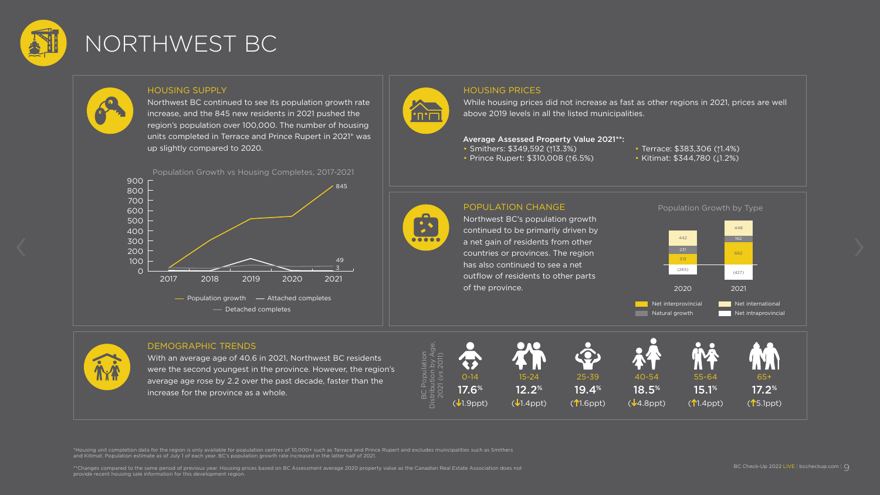

## NORTHWEST BC

\*Housing unit completion data for the region is only available for population centres of 10,000+ such as Terrace and Prince Rupert and excludes municipalities such as Smithers and Kitimat. Population estimate as of July 1 of each year. BC's population growth rate increased in the latter half of 2021.

\*\*Changes compared to the same period of previous year. Housing prices based on BC Assessment average 2020 property value as the Canadian Real Estate Association does not provide recent housing sale information for this development region.



#### POPULATION CHANGE

Northwest BC's population growth continued to be primarily driven by a net gain of residents from other countries or provinces. The region has also continued to see a net outflow of residents to other parts of the province.

#### HOUSING SUPPLY

Northwest BC continued to see its population growth rate increase, and the 845 new residents in 2021 pushed the region's population over 100,000. The number of housing units completed in Terrace and Prince Rupert in 2021\* was up slightly compared to 2020.

- Smithers: \$349,592 (↑13.3%)
- Prince Rupert: \$310,008 (↑6.5%)
- Terrace: \$383,306 (↑1.4%)
- Kitimat: \$344,780 (↓1.2%)



#### DEMOGRAPHIC TRENDS

With an average age of 40.6 in 2021, Northwest BC residents were the second youngest in the province. However, the region's average age rose by 2.2 over the past decade, faster than the increase for the province as a whole.







#### HOUSING PRICES

While housing prices did not increase as fast as other regions in 2021, prices are well above 2019 levels in all the listed municipalities.





#### Average Assessed Property Value 2021\*\*: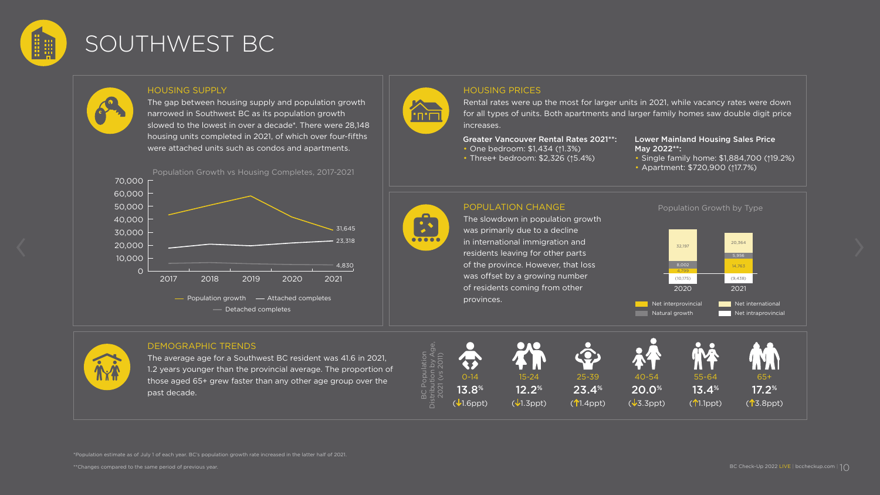

### SOUTHWEST BC

\*Population estimate as of July 1 of each year. BC's population growth rate increased in the latter half of 2021.



#### POPULATION CHANGE

The slowdown in population growth was primarily due to a decline in international immigration and residents leaving for other parts of the province. However, that loss was offset by a growing number of residents coming from other provinces.

The average age for a Southwest BC resident was 41.6 in 2021, 1.2 years younger than the provincial average. The proportion of those aged 65+ grew faster than any other age group over the past decade.

#### HOUSING SUPPLY

The gap between housing supply and population growth narrowed in Southwest BC as its population growth slowed to the lowest in over a decade\*. There were 28,148 housing units completed in 2021, of which over four-fifths were attached units such as condos and apartments.

Rental rates were up the most for larger units in 2021, while vacancy rates were down for all types of units. Both apartments and larger family homes saw double digit price increases.

#### DEMOGRAPHIC TRENDS

- One bedroom: \$1,434 (↑1.3%)
- Three+ bedroom: \$2,326 (↑5.4%)





Population Growth by Type



#### HOUSING PRICES





#### Greater Vancouver Rental Rates 2021\*\*:

#### Lower Mainland Housing Sales Price May 2022\*\*:

• Single family home: \$1,884,700 (↑19.2%)

• Apartment: \$720,900 (↑17.7%)

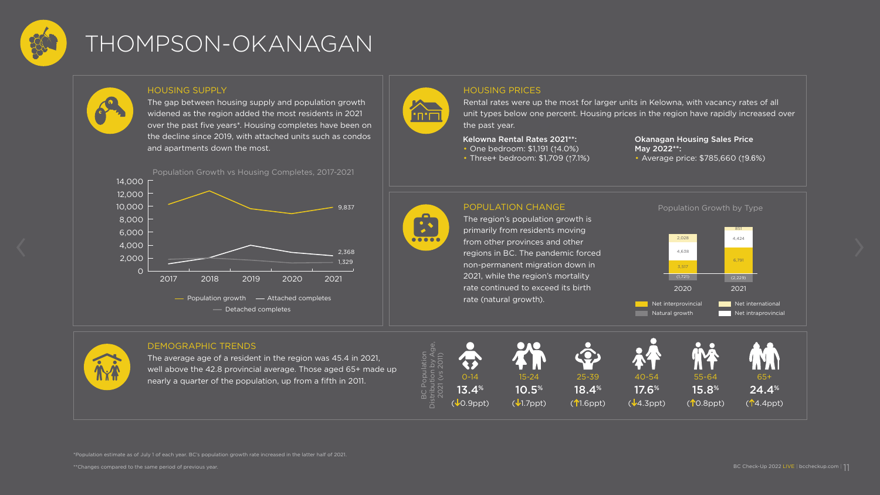

### THOMPSON-OKANAGAN

\*Population estimate as of July 1 of each year. BC's population growth rate increased in the latter half of 2021.



#### POPULATION CHANGE

The region's population growth is primarily from residents moving from other provinces and other regions in BC. The pandemic forced non-permanent migration down in 2021, while the region's mortality rate continued to exceed its birth rate (natural growth).

#### HOUSING SUPPLY

The gap between housing supply and population growth widened as the region added the most residents in 2021 over the past five years\*. Housing completes have been on the decline since 2019, with attached units such as condos and apartments down the most.

#### DEMOGRAPHIC TRENDS

The average age of a resident in the region was 45.4 in 2021, well above the 42.8 provincial average. Those aged 65+ made up nearly a quarter of the population, up from a fifth in 2011.

#### HOUSING PRICES

Rental rates were up the most for larger units in Kelowna, with vacancy rates of all unit types below one percent. Housing prices in the region have rapidly increased over the past year.

#### Kelowna Rental Rates 2021\*\*:

- One bedroom: \$1,191 (↑4.0%)
- Three+ bedroom: \$1,709 (↑7.1%)

#### Okanagan Housing Sales Price May 2022\*\*:

• Average price: \$785,660 (↑9.6%)





Population Growth by Type







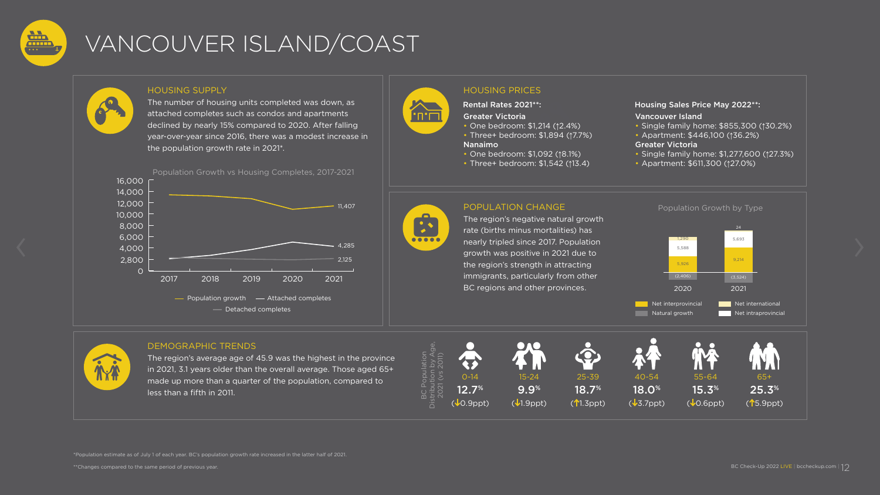

## VANCOUVER ISLAND/COAST

\*Population estimate as of July 1 of each year. BC's population growth rate increased in the latter half of 2021.

# $\sum_{\Pi\sqcap\Pi}$

#### POPULATION CHANGE

The region's negative natural growth rate (births minus mortalities) has nearly tripled since 2017. Population growth was positive in 2021 due to the region's strength in attracting immigrants, particularly from other BC regions and other provinces.

The region's average age of 45.9 was the highest in the province in 2021, 3.1 years older than the overall average. Those aged 65+ made up more than a quarter of the population, compared to less than a fifth in 2011.

#### HOUSING SUPPLY

The number of housing units completed was down, as attached completes such as condos and apartments declined by nearly 15% compared to 2020. After falling year-over-year since 2016, there was a modest increase in the population growth rate in 2021\*.

#### DEMOGRAPHIC TRENDS











### HOUSING PRICES

#### Rental Rates 2021\*\*:

#### Greater Victoria

- One bedroom: \$1,214 (↑2.4%)
- Three+ bedroom: \$1,894 (↑7.7%)

#### Nanaimo

- One bedroom: \$1,092 (↑8.1%)
- Three+ bedroom: \$1,542 (↑13.4)

#### Housing Sales Price May 2022\*\*:

#### Vancouver Island

- Single family home: \$855,300 (↑30.2%)
- Apartment: \$446,100 (↑36.2%)

#### Greater Victoria

- Single family home: \$1,277,600 (↑27.3%)
- Apartment: \$611,300 (↑27.0%)

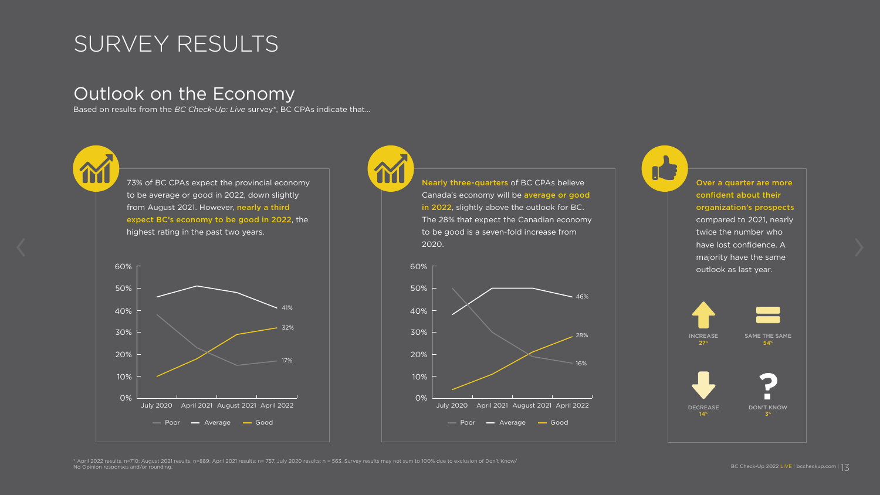### SURVEY RESULTS

### Outlook on the Economy

Based on results from the *BC Check-Up: Live* survey\*, BC CPAs indicate that…

\* April 2022 results, n=710; August 2021 results: n=889; April 2021 results: n= 757. July 2020 results: n = 563. Survey results may not sum to 100% due to exclusion of Don't Know/ No Opinion responses and/or rounding.









Over a quarter are more confident about their organization's prospects compared to 2021, nearly twice the number who have lost confidence. A majority have the same outlook as last year.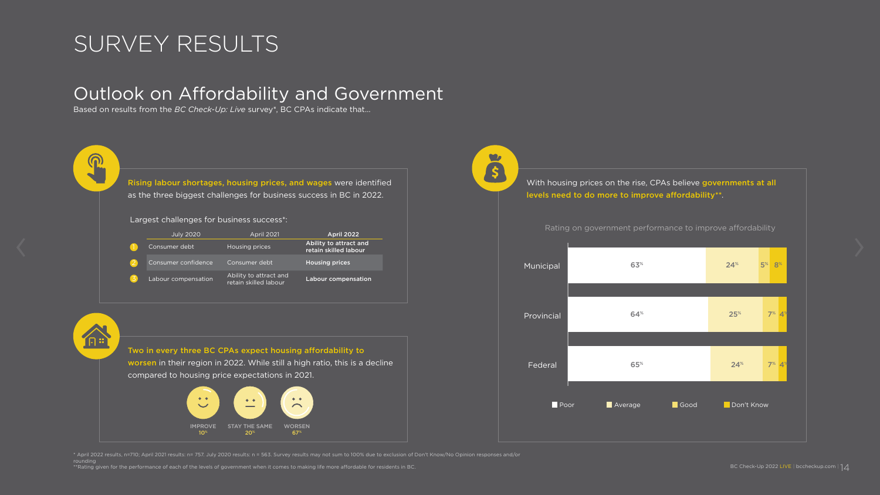### SURVEY RESULTS

R

合

### Outlook on Affordability and Government

Based on results from the *BC Check-Up: Live* survey\*, BC CPAs indicate that…

Rising labour shortages, housing prices, and wages were identified as the three biggest challenges for business success in BC in 2022.

Two in every three BC CPAs expect housing affordability to

worsen in their region in 2022. While still a high ratio, this is a decline compared to housing price expectations in 2021.

\* April 2022 results, n=710; April 2021 results: n= 757. July 2020 results: n = 563. Survey results may not sum to 100% due to exclusion of Don't Know/No Opinion responses and/or rounding

\*\*Rating given for the performance of each of the levels of government when it comes to making life more affordable for residents in BC.

 $\bullet$ 

S

With housing prices on the rise, CPAs believe governments at all levels need to do more to improve affordability\*\*.

Largest challenges for business success\*:

| <b>July 2020</b>    | <b>April 2021</b>                               | <b>April 2022</b>                               |
|---------------------|-------------------------------------------------|-------------------------------------------------|
| Consumer debt       | Housing prices                                  | Ability to attract and<br>retain skilled labour |
| Consumer confidence | Consumer debt                                   | <b>Housing prices</b>                           |
| Labour compensation | Ability to attract and<br>retain skilled labour | <b>Labour compensation</b>                      |





Rating on government performance to improve affordability